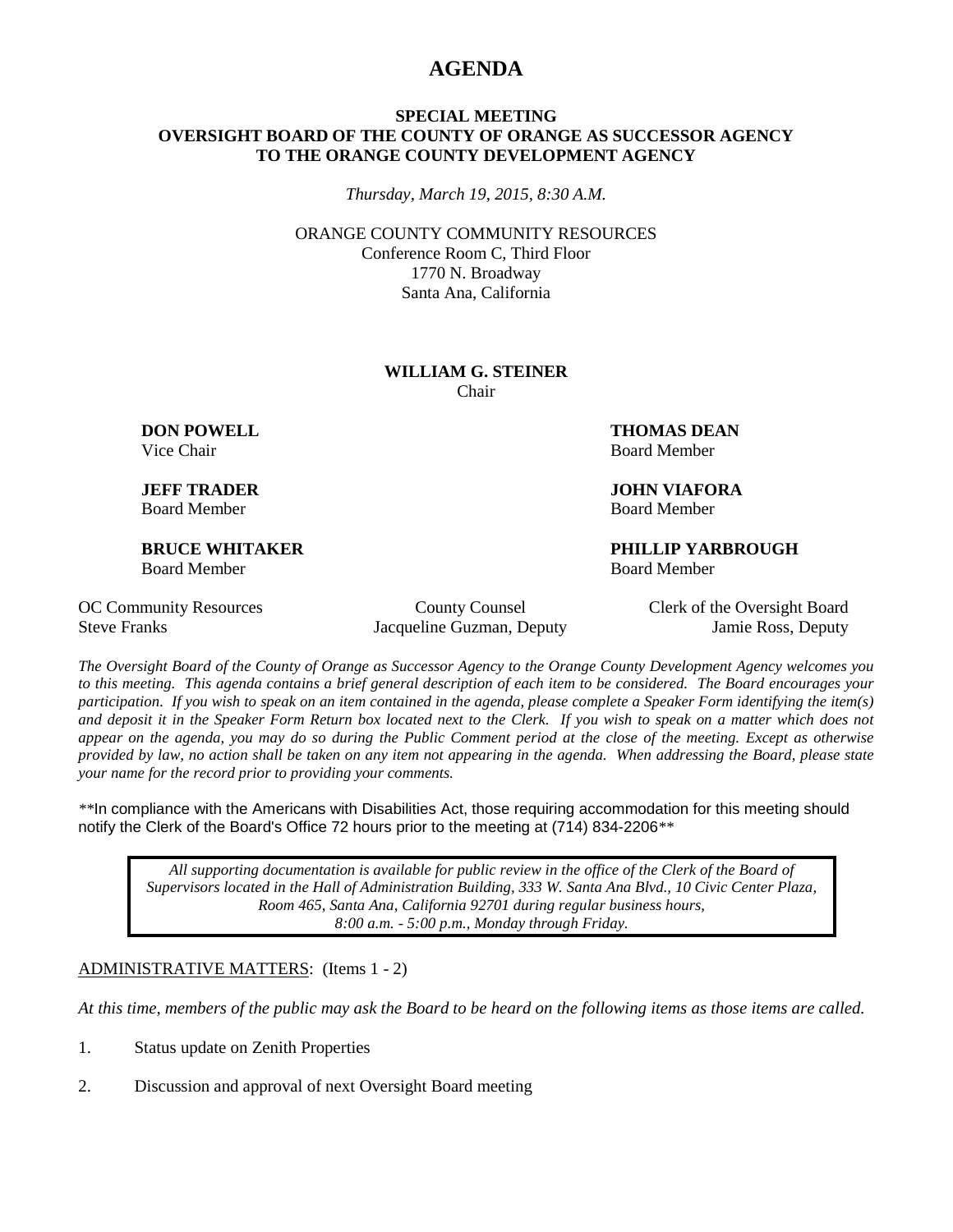## **AGENDA**

#### **SPECIAL MEETING OVERSIGHT BOARD OF THE COUNTY OF ORANGE AS SUCCESSOR AGENCY TO THE ORANGE COUNTY DEVELOPMENT AGENCY**

*Thursday, March 19, 2015, 8:30 A.M.*

ORANGE COUNTY COMMUNITY RESOURCES Conference Room C, Third Floor 1770 N. Broadway Santa Ana, California

#### **WILLIAM G. STEINER** Chair

Board Member Board Member

Board Member Board Member

**DON POWELL THOMAS DEAN** Vice Chair **Board Member** Board Member

**JEFF TRADER JOHN VIAFORA**

**BRUCE WHITAKER PHILLIP YARBROUGH**

Steve Franks Jacqueline Guzman, Deputy Jamie Ross, Deputy

OC Community Resources County County Counsel Clerk of the Oversight Board

*The Oversight Board of the County of Orange as Successor Agency to the Orange County Development Agency welcomes you to this meeting. This agenda contains a brief general description of each item to be considered. The Board encourages your participation. If you wish to speak on an item contained in the agenda, please complete a Speaker Form identifying the item(s) and deposit it in the Speaker Form Return box located next to the Clerk. If you wish to speak on a matter which does not appear on the agenda, you may do so during the Public Comment period at the close of the meeting. Except as otherwise provided by law, no action shall be taken on any item not appearing in the agenda. When addressing the Board, please state your name for the record prior to providing your comments.* 

*\*\**In compliance with the Americans with Disabilities Act, those requiring accommodation for this meeting should notify the Clerk of the Board's Office 72 hours prior to the meeting at (714) 834-2206*\*\**

*All supporting documentation is available for public review in the office of the Clerk of the Board of Supervisors located in the Hall of Administration Building, 333 W. Santa Ana Blvd., 10 Civic Center Plaza, Room 465, Santa Ana, California 92701 during regular business hours, 8:00 a.m. - 5:00 p.m., Monday through Friday.*

#### ADMINISTRATIVE MATTERS: (Items 1 - 2)

*At this time, members of the public may ask the Board to be heard on the following items as those items are called.*

- 1. Status update on Zenith Properties
- 2. Discussion and approval of next Oversight Board meeting